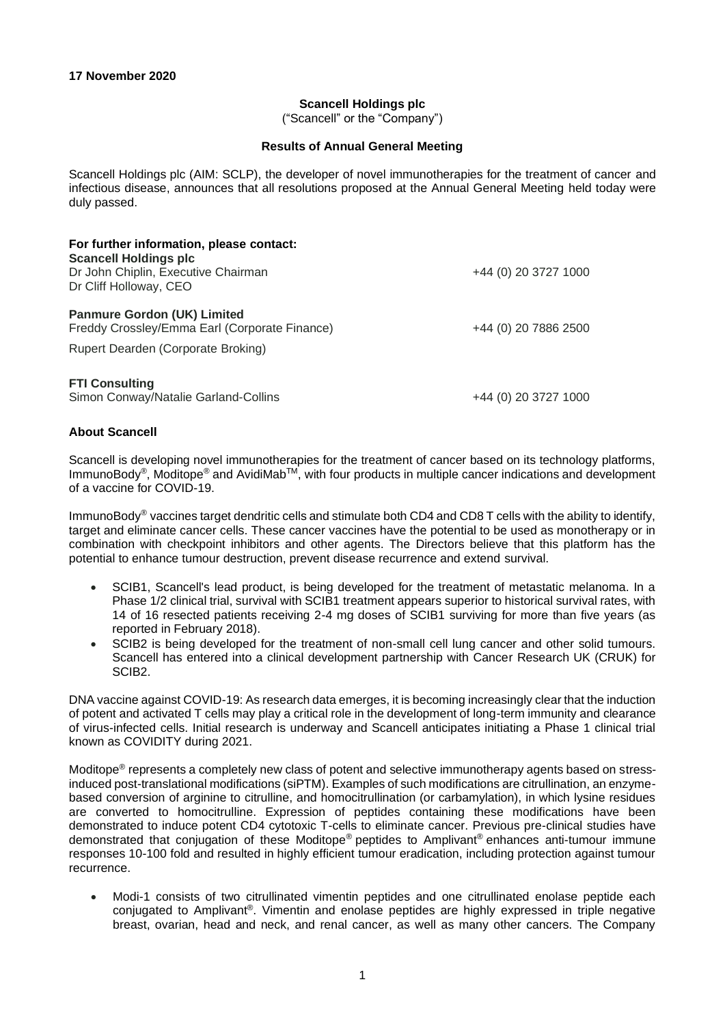## **Scancell Holdings plc**

("Scancell" or the "Company")

## **Results of Annual General Meeting**

Scancell Holdings plc (AIM: SCLP), the developer of novel immunotherapies for the treatment of cancer and infectious disease, announces that all resolutions proposed at the Annual General Meeting held today were duly passed.

| For further information, please contact:<br><b>Scancell Holdings plc</b><br>Dr John Chiplin, Executive Chairman<br>Dr Cliff Holloway, CEO | +44 (0) 20 3727 1000 |
|-------------------------------------------------------------------------------------------------------------------------------------------|----------------------|
| <b>Panmure Gordon (UK) Limited</b><br>Freddy Crossley/Emma Earl (Corporate Finance)<br>Rupert Dearden (Corporate Broking)                 | +44 (0) 20 7886 2500 |
| <b>FTI Consulting</b><br>Simon Conway/Natalie Garland-Collins                                                                             | +44 (0) 20 3727 1000 |

## **About Scancell**

Scancell is developing novel immunotherapies for the treatment of cancer based on its technology platforms, ImmunoBody®, Moditope® and AvidiMabTM, with four products in multiple cancer indications and development of a vaccine for COVID-19.

ImmunoBody® vaccines target dendritic cells and stimulate both CD4 and CD8 T cells with the ability to identify, target and eliminate cancer cells. These cancer vaccines have the potential to be used as monotherapy or in combination with checkpoint inhibitors and other agents. The Directors believe that this platform has the potential to enhance tumour destruction, prevent disease recurrence and extend survival.

- SCIB1, Scancell's lead product, is being developed for the treatment of metastatic melanoma. In a Phase 1/2 clinical trial, survival with SCIB1 treatment appears superior to historical survival rates, with 14 of 16 resected patients receiving 2-4 mg doses of SCIB1 surviving for more than five years (as reported in February 2018).
- SCIB2 is being developed for the treatment of non-small cell lung cancer and other solid tumours. Scancell has entered into a clinical development partnership with Cancer Research UK (CRUK) for SCIB2.

DNA vaccine against COVID-19: As research data emerges, it is becoming increasingly clear that the induction of potent and activated T cells may play a critical role in the development of long-term immunity and clearance of virus-infected cells. Initial research is underway and Scancell anticipates initiating a Phase 1 clinical trial known as COVIDITY during 2021.

Moditope® represents a completely new class of potent and selective immunotherapy agents based on stressinduced post-translational modifications (siPTM). Examples of such modifications are citrullination, an enzymebased conversion of arginine to citrulline, and homocitrullination (or carbamylation), in which lysine residues are converted to homocitrulline. Expression of peptides containing these modifications have been demonstrated to induce potent CD4 cytotoxic T-cells to eliminate cancer. Previous pre-clinical studies have demonstrated that conjugation of these Moditope® peptides to Amplivant® enhances anti-tumour immune responses 10-100 fold and resulted in highly efficient tumour eradication, including protection against tumour recurrence.

• Modi-1 consists of two citrullinated vimentin peptides and one citrullinated enolase peptide each conjugated to Amplivant®. Vimentin and enolase peptides are highly expressed in triple negative breast, ovarian, head and neck, and renal cancer, as well as many other cancers. The Company